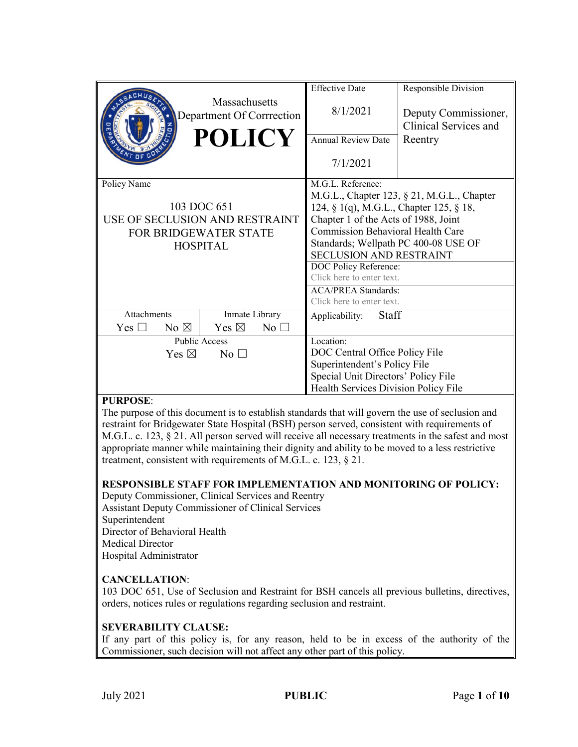|                                   |                                                   | <b>Effective Date</b>                      | Responsible Division                          |
|-----------------------------------|---------------------------------------------------|--------------------------------------------|-----------------------------------------------|
|                                   | <b>Massachusetts</b><br>Department Of Corrrection | 8/1/2021                                   | Deputy Commissioner,<br>Clinical Services and |
|                                   | <b>POLICY</b>                                     | <b>Annual Review Date</b>                  | Reentry                                       |
|                                   |                                                   | 7/1/2021                                   |                                               |
| Policy Name                       |                                                   | M.G.L. Reference:                          |                                               |
|                                   |                                                   | M.G.L., Chapter 123, § 21, M.G.L., Chapter |                                               |
| 103 DOC 651                       |                                                   | 124, § 1(q), M.G.L., Chapter 125, § 18,    |                                               |
| USE OF SECLUSION AND RESTRAINT    |                                                   | Chapter 1 of the Acts of 1988, Joint       |                                               |
| <b>FOR BRIDGEWATER STATE</b>      |                                                   | <b>Commission Behavioral Health Care</b>   |                                               |
| <b>HOSPITAL</b>                   |                                                   | Standards; Wellpath PC 400-08 USE OF       |                                               |
|                                   |                                                   | <b>SECLUSION AND RESTRAINT</b>             |                                               |
|                                   |                                                   | DOC Policy Reference:                      |                                               |
|                                   |                                                   | Click here to enter text.                  |                                               |
|                                   |                                                   | <b>ACA/PREA Standards:</b>                 |                                               |
|                                   |                                                   | Click here to enter text.                  |                                               |
| Attachments                       | Inmate Library                                    | Staff<br>Applicability:                    |                                               |
| Yes $\Box$<br>No $\boxtimes$      | Yes $\boxtimes$<br>$No$ $\square$                 |                                            |                                               |
| <b>Public Access</b>              |                                                   | Location:                                  |                                               |
| Yes $\boxtimes$<br>$No$ $\square$ |                                                   | DOC Central Office Policy File             |                                               |
|                                   |                                                   | Superintendent's Policy File               |                                               |
|                                   |                                                   | Special Unit Directors' Policy File        |                                               |
|                                   |                                                   | Health Services Division Policy File       |                                               |

### **PURPOSE**:

The purpose of this document is to establish standards that will govern the use of seclusion and restraint for Bridgewater State Hospital (BSH) person served, consistent with requirements of M.G.L. c. 123, § 21. All person served will receive all necessary treatments in the safest and most appropriate manner while maintaining their dignity and ability to be moved to a less restrictive treatment, consistent with requirements of M.G.L. c. 123, § 21.

#### **RESPONSIBLE STAFF FOR IMPLEMENTATION AND MONITORING OF POLICY:**

Deputy Commissioner, Clinical Services and Reentry Assistant Deputy Commissioner of Clinical Services Superintendent Director of Behavioral Health Medical Director Hospital Administrator

#### **CANCELLATION**:

103 DOC 651, Use of Seclusion and Restraint for BSH cancels all previous bulletins, directives, orders, notices rules or regulations regarding seclusion and restraint.

#### **SEVERABILITY CLAUSE:**

If any part of this policy is, for any reason, held to be in excess of the authority of the Commissioner, such decision will not affect any other part of this policy.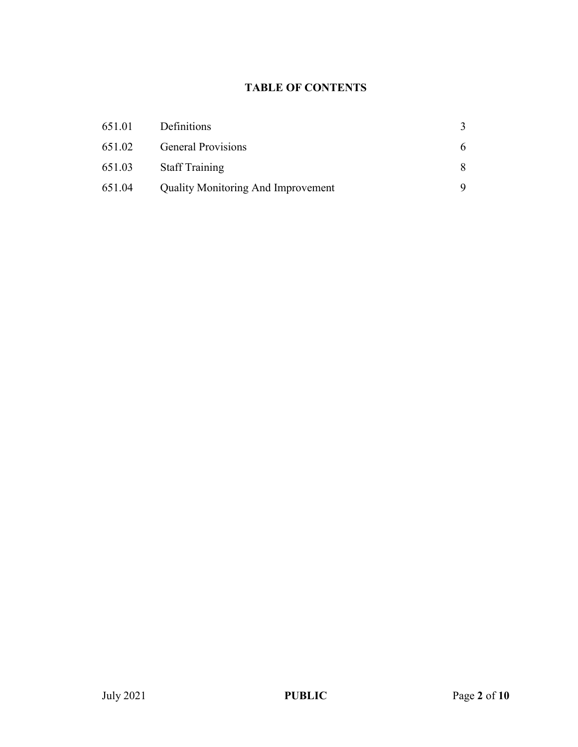# **TABLE OF CONTENTS**

| 651.01 | Definitions                               |   |
|--------|-------------------------------------------|---|
| 651.02 | <b>General Provisions</b>                 | 6 |
| 651.03 | <b>Staff Training</b>                     | 8 |
| 651.04 | <b>Quality Monitoring And Improvement</b> |   |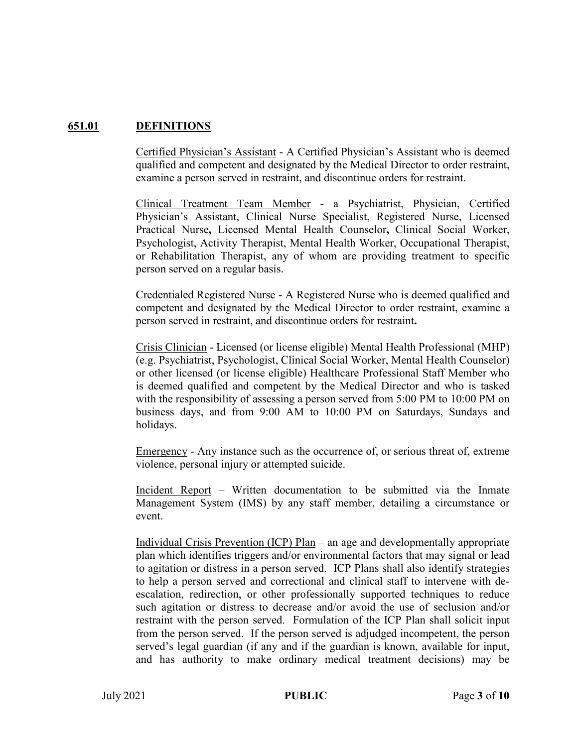# **651.01 DEFINITIONS**

Certified Physician's Assistant - A Certified Physician's Assistant who is deemed qualified and competent and designated by the Medical Director to order restraint, examine a person served in restraint, and discontinue orders for restraint.

Clinical Treatment Team Member - a Psychiatrist, Physician, Certified Physician's Assistant, Clinical Nurse Specialist, Registered Nurse, Licensed Practical Nurse**,** Licensed Mental Health Counselor**,** Clinical Social Worker, Psychologist, Activity Therapist, Mental Health Worker, Occupational Therapist, or Rehabilitation Therapist, any of whom are providing treatment to specific person served on a regular basis.

Credentialed Registered Nurse - A Registered Nurse who is deemed qualified and competent and designated by the Medical Director to order restraint, examine a person served in restraint, and discontinue orders for restraint**.**

Crisis Clinician - Licensed (or license eligible) Mental Health Professional (MHP) (e.g. Psychiatrist, Psychologist, Clinical Social Worker, Mental Health Counselor) or other licensed (or license eligible) Healthcare Professional Staff Member who is deemed qualified and competent by the Medical Director and who is tasked with the responsibility of assessing a person served from 5:00 PM to 10:00 PM on business days, and from 9:00 AM to 10:00 PM on Saturdays, Sundays and holidays.

Emergency - Any instance such as the occurrence of, or serious threat of, extreme violence, personal injury or attempted suicide.

Incident Report – Written documentation to be submitted via the Inmate Management System (IMS) by any staff member, detailing a circumstance or event.

Individual Crisis Prevention (ICP) Plan – an age and developmentally appropriate plan which identifies triggers and/or environmental factors that may signal or lead to agitation or distress in a person served. ICP Plans shall also identify strategies to help a person served and correctional and clinical staff to intervene with deescalation, redirection, or other professionally supported techniques to reduce such agitation or distress to decrease and/or avoid the use of seclusion and/or restraint with the person served. Formulation of the ICP Plan shall solicit input from the person served. If the person served is adjudged incompetent, the person served's legal guardian (if any and if the guardian is known, available for input, and has authority to make ordinary medical treatment decisions) may be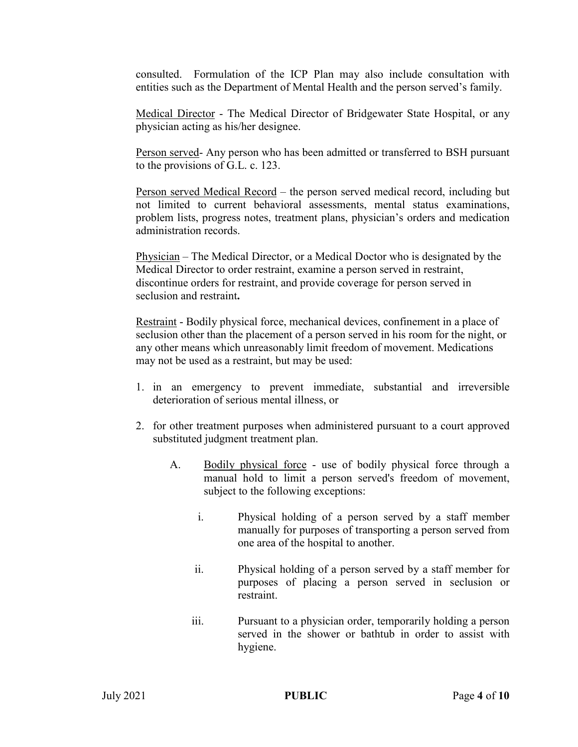consulted. Formulation of the ICP Plan may also include consultation with entities such as the Department of Mental Health and the person served's family.

Medical Director - The Medical Director of Bridgewater State Hospital, or any physician acting as his/her designee.

Person served- Any person who has been admitted or transferred to BSH pursuant to the provisions of G.L. c. 123.

Person served Medical Record – the person served medical record, including but not limited to current behavioral assessments, mental status examinations, problem lists, progress notes, treatment plans, physician's orders and medication administration records.

Physician – The Medical Director, or a Medical Doctor who is designated by the Medical Director to order restraint, examine a person served in restraint, discontinue orders for restraint, and provide coverage for person served in seclusion and restraint**.**

Restraint - Bodily physical force, mechanical devices, confinement in a place of seclusion other than the placement of a person served in his room for the night, or any other means which unreasonably limit freedom of movement. Medications may not be used as a restraint, but may be used:

- 1. in an emergency to prevent immediate, substantial and irreversible deterioration of serious mental illness, or
- 2. for other treatment purposes when administered pursuant to a court approved substituted judgment treatment plan.
	- A. Bodily physical force use of bodily physical force through a manual hold to limit a person served's freedom of movement, subject to the following exceptions:
		- i. Physical holding of a person served by a staff member manually for purposes of transporting a person served from one area of the hospital to another.
		- ii. Physical holding of a person served by a staff member for purposes of placing a person served in seclusion or restraint.
		- iii. Pursuant to a physician order, temporarily holding a person served in the shower or bathtub in order to assist with hygiene.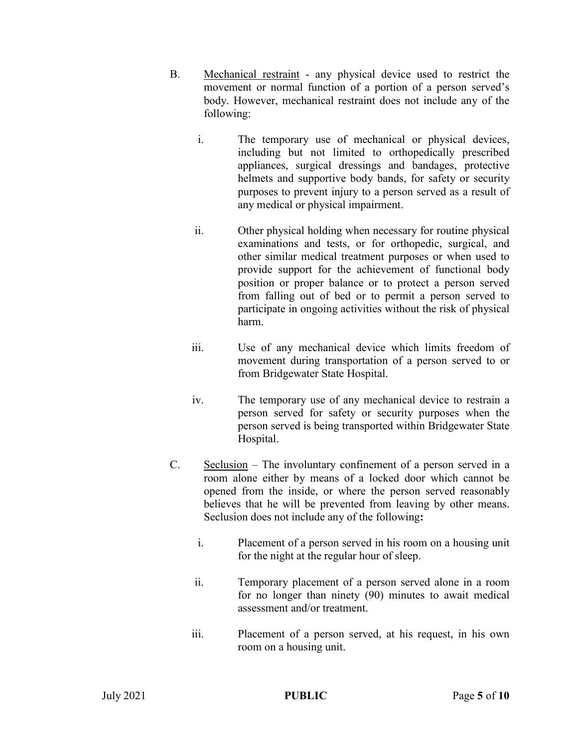- B. Mechanical restraint any physical device used to restrict the movement or normal function of a portion of a person served's body. However, mechanical restraint does not include any of the following:
	- i. The temporary use of mechanical or physical devices, including but not limited to orthopedically prescribed appliances, surgical dressings and bandages, protective helmets and supportive body bands, for safety or security purposes to prevent injury to a person served as a result of any medical or physical impairment.
	- ii. Other physical holding when necessary for routine physical examinations and tests, or for orthopedic, surgical, and other similar medical treatment purposes or when used to provide support for the achievement of functional body position or proper balance or to protect a person served from falling out of bed or to permit a person served to participate in ongoing activities without the risk of physical harm.
	- iii. Use of any mechanical device which limits freedom of movement during transportation of a person served to or from Bridgewater State Hospital.
	- iv. The temporary use of any mechanical device to restrain a person served for safety or security purposes when the person served is being transported within Bridgewater State Hospital.
- C. Seclusion The involuntary confinement of a person served in a room alone either by means of a locked door which cannot be opened from the inside, or where the person served reasonably believes that he will be prevented from leaving by other means. Seclusion does not include any of the following**:**
	- i. Placement of a person served in his room on a housing unit for the night at the regular hour of sleep.
	- ii. Temporary placement of a person served alone in a room for no longer than ninety (90) minutes to await medical assessment and/or treatment.
	- iii. Placement of a person served, at his request, in his own room on a housing unit.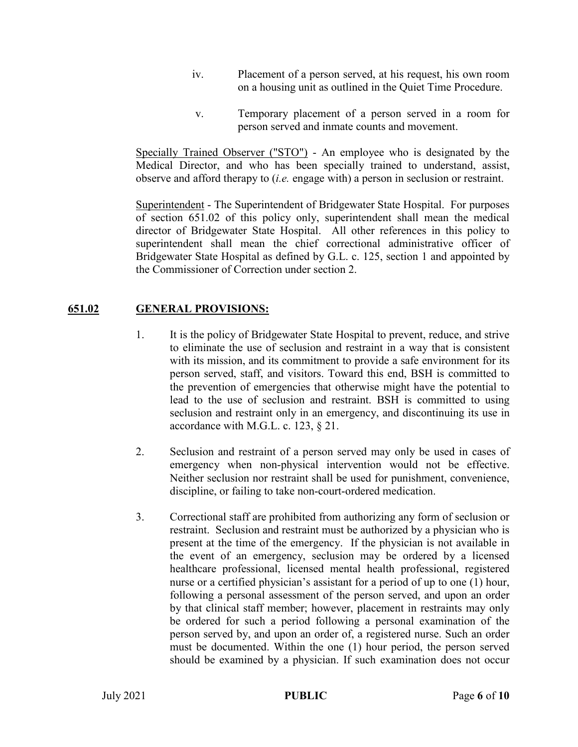- iv. Placement of a person served, at his request, his own room on a housing unit as outlined in the Quiet Time Procedure.
- v. Temporary placement of a person served in a room for person served and inmate counts and movement.

Specially Trained Observer ("STO") - An employee who is designated by the Medical Director, and who has been specially trained to understand, assist, observe and afford therapy to (*i.e.* engage with) a person in seclusion or restraint.

Superintendent - The Superintendent of Bridgewater State Hospital. For purposes of section 651.02 of this policy only, superintendent shall mean the medical director of Bridgewater State Hospital. All other references in this policy to superintendent shall mean the chief correctional administrative officer of Bridgewater State Hospital as defined by G.L. c. 125, section 1 and appointed by the Commissioner of Correction under section 2.

# **651.02 GENERAL PROVISIONS:**

- 1. It is the policy of Bridgewater State Hospital to prevent, reduce, and strive to eliminate the use of seclusion and restraint in a way that is consistent with its mission, and its commitment to provide a safe environment for its person served, staff, and visitors. Toward this end, BSH is committed to the prevention of emergencies that otherwise might have the potential to lead to the use of seclusion and restraint. BSH is committed to using seclusion and restraint only in an emergency, and discontinuing its use in accordance with M.G.L. c. 123, § 21.
- 2. Seclusion and restraint of a person served may only be used in cases of emergency when non-physical intervention would not be effective. Neither seclusion nor restraint shall be used for punishment, convenience, discipline, or failing to take non-court-ordered medication.
- 3. Correctional staff are prohibited from authorizing any form of seclusion or restraint. Seclusion and restraint must be authorized by a physician who is present at the time of the emergency. If the physician is not available in the event of an emergency, seclusion may be ordered by a licensed healthcare professional, licensed mental health professional, registered nurse or a certified physician's assistant for a period of up to one (1) hour, following a personal assessment of the person served, and upon an order by that clinical staff member; however, placement in restraints may only be ordered for such a period following a personal examination of the person served by, and upon an order of, a registered nurse. Such an order must be documented. Within the one (1) hour period, the person served should be examined by a physician. If such examination does not occur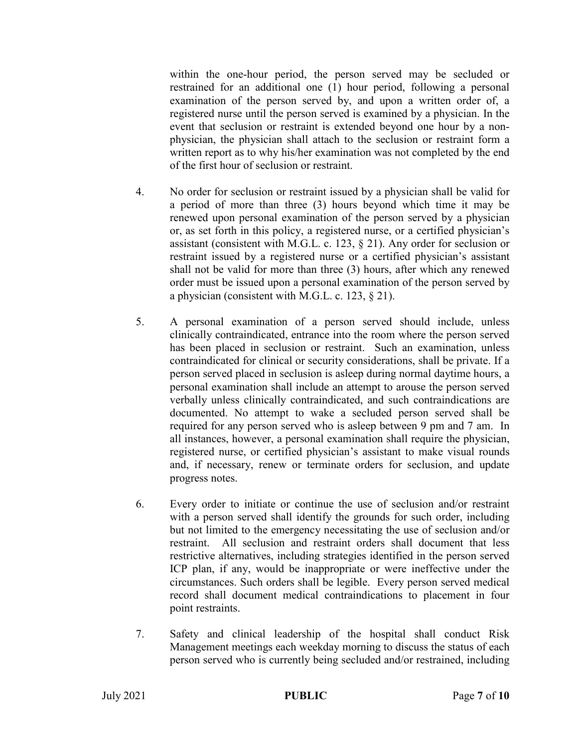within the one-hour period, the person served may be secluded or restrained for an additional one (1) hour period, following a personal examination of the person served by, and upon a written order of, a registered nurse until the person served is examined by a physician. In the event that seclusion or restraint is extended beyond one hour by a nonphysician, the physician shall attach to the seclusion or restraint form a written report as to why his/her examination was not completed by the end of the first hour of seclusion or restraint.

- 4. No order for seclusion or restraint issued by a physician shall be valid for a period of more than three (3) hours beyond which time it may be renewed upon personal examination of the person served by a physician or, as set forth in this policy, a registered nurse, or a certified physician's assistant (consistent with M.G.L. c. 123, § 21). Any order for seclusion or restraint issued by a registered nurse or a certified physician's assistant shall not be valid for more than three (3) hours, after which any renewed order must be issued upon a personal examination of the person served by a physician (consistent with M.G.L. c. 123,  $\S$  21).
- 5. A personal examination of a person served should include, unless clinically contraindicated, entrance into the room where the person served has been placed in seclusion or restraint. Such an examination, unless contraindicated for clinical or security considerations, shall be private. If a person served placed in seclusion is asleep during normal daytime hours, a personal examination shall include an attempt to arouse the person served verbally unless clinically contraindicated, and such contraindications are documented. No attempt to wake a secluded person served shall be required for any person served who is asleep between 9 pm and 7 am. In all instances, however, a personal examination shall require the physician, registered nurse, or certified physician's assistant to make visual rounds and, if necessary, renew or terminate orders for seclusion, and update progress notes.
- 6. Every order to initiate or continue the use of seclusion and/or restraint with a person served shall identify the grounds for such order, including but not limited to the emergency necessitating the use of seclusion and/or restraint. All seclusion and restraint orders shall document that less restrictive alternatives, including strategies identified in the person served ICP plan, if any, would be inappropriate or were ineffective under the circumstances. Such orders shall be legible. Every person served medical record shall document medical contraindications to placement in four point restraints.
- 7. Safety and clinical leadership of the hospital shall conduct Risk Management meetings each weekday morning to discuss the status of each person served who is currently being secluded and/or restrained, including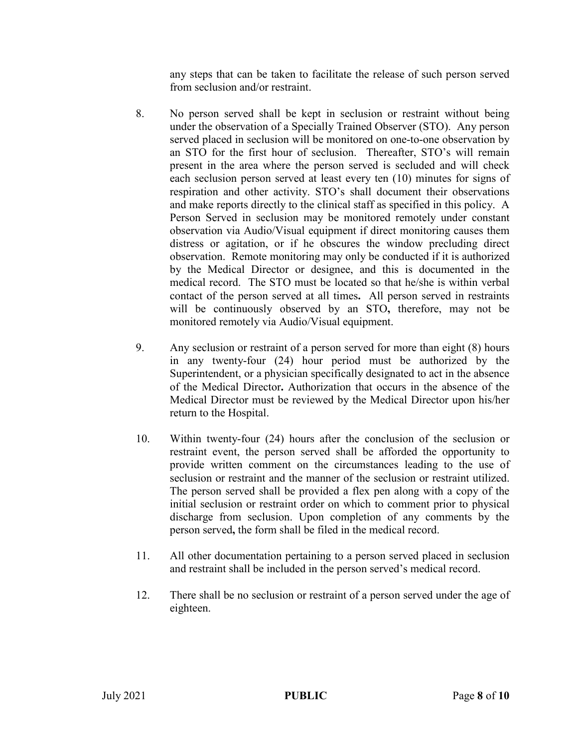any steps that can be taken to facilitate the release of such person served from seclusion and/or restraint.

- 8. No person served shall be kept in seclusion or restraint without being under the observation of a Specially Trained Observer (STO). Any person served placed in seclusion will be monitored on one-to-one observation by an STO for the first hour of seclusion. Thereafter, STO's will remain present in the area where the person served is secluded and will check each seclusion person served at least every ten (10) minutes for signs of respiration and other activity. STO's shall document their observations and make reports directly to the clinical staff as specified in this policy. A Person Served in seclusion may be monitored remotely under constant observation via Audio/Visual equipment if direct monitoring causes them distress or agitation, or if he obscures the window precluding direct observation. Remote monitoring may only be conducted if it is authorized by the Medical Director or designee, and this is documented in the medical record. The STO must be located so that he/she is within verbal contact of the person served at all times**.** All person served in restraints will be continuously observed by an STO**,** therefore, may not be monitored remotely via Audio/Visual equipment.
- 9. Any seclusion or restraint of a person served for more than eight (8) hours in any twenty-four (24) hour period must be authorized by the Superintendent, or a physician specifically designated to act in the absence of the Medical Director**.** Authorization that occurs in the absence of the Medical Director must be reviewed by the Medical Director upon his/her return to the Hospital.
- 10. Within twenty-four (24) hours after the conclusion of the seclusion or restraint event, the person served shall be afforded the opportunity to provide written comment on the circumstances leading to the use of seclusion or restraint and the manner of the seclusion or restraint utilized. The person served shall be provided a flex pen along with a copy of the initial seclusion or restraint order on which to comment prior to physical discharge from seclusion. Upon completion of any comments by the person served**,** the form shall be filed in the medical record.
- 11. All other documentation pertaining to a person served placed in seclusion and restraint shall be included in the person served's medical record.
- 12. There shall be no seclusion or restraint of a person served under the age of eighteen.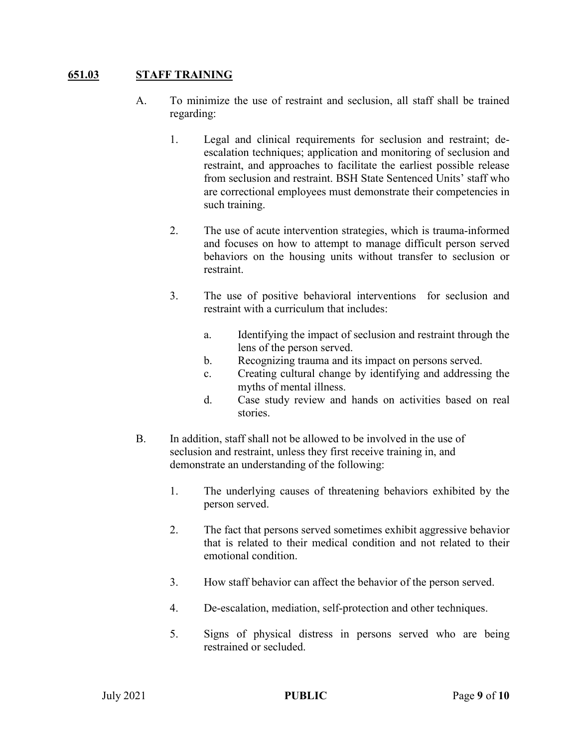### **651.03 STAFF TRAINING**

- A. To minimize the use of restraint and seclusion, all staff shall be trained regarding:
	- 1. Legal and clinical requirements for seclusion and restraint; deescalation techniques; application and monitoring of seclusion and restraint, and approaches to facilitate the earliest possible release from seclusion and restraint. BSH State Sentenced Units' staff who are correctional employees must demonstrate their competencies in such training.
	- 2. The use of acute intervention strategies, which is trauma-informed and focuses on how to attempt to manage difficult person served behaviors on the housing units without transfer to seclusion or restraint.
	- 3. The use of positive behavioral interventions for seclusion and restraint with a curriculum that includes:
		- a. Identifying the impact of seclusion and restraint through the lens of the person served.
		- b. Recognizing trauma and its impact on persons served.
		- c. Creating cultural change by identifying and addressing the myths of mental illness.
		- d. Case study review and hands on activities based on real stories.
- B. In addition, staff shall not be allowed to be involved in the use of seclusion and restraint, unless they first receive training in, and demonstrate an understanding of the following:
	- 1. The underlying causes of threatening behaviors exhibited by the person served.
	- 2. The fact that persons served sometimes exhibit aggressive behavior that is related to their medical condition and not related to their emotional condition.
	- 3. How staff behavior can affect the behavior of the person served.
	- 4. De-escalation, mediation, self-protection and other techniques.
	- 5. Signs of physical distress in persons served who are being restrained or secluded.